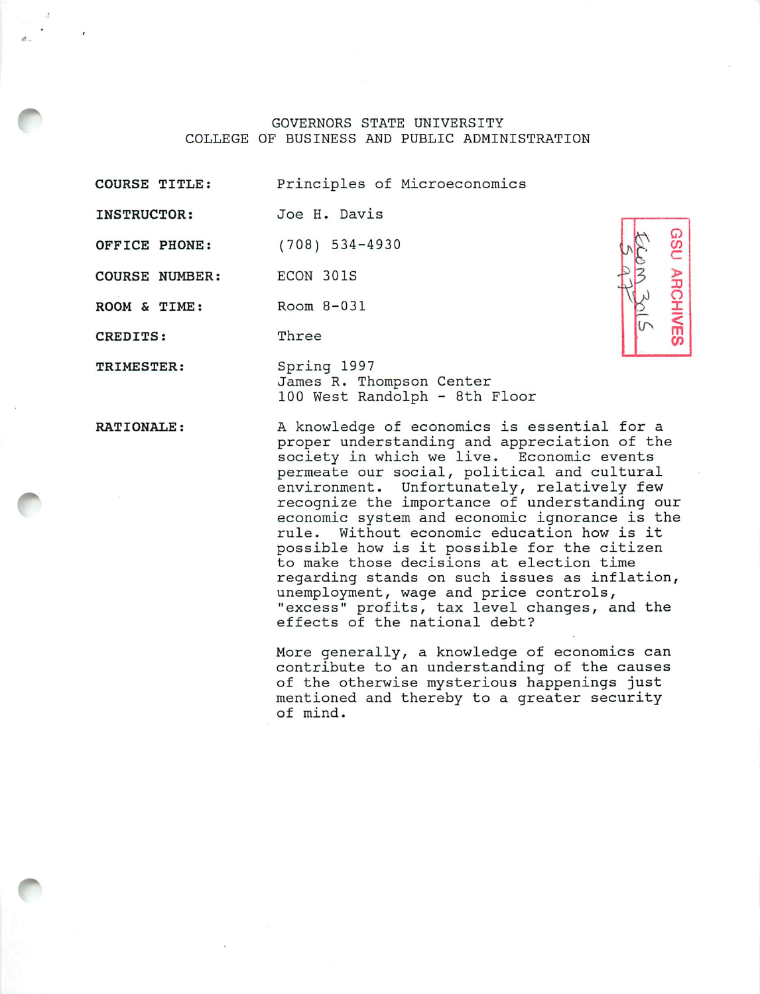GOVERNORS STATE UNIVERSITY COLLEGE OF BUSINESS AND PUBLIC ADMINISTRATION

COURSE TITLE: Principles of Microeconomics

INSTRUCTOR: Joe H. Davis

OFFICE PHONE: (708) 534-4930

COURSE NUMBER ECON 301S

ROOM & TIME: Room 8-031

CREDITS: Three

> Spring 1997 James R. Thompson Center 100 West Randolph - 8th Floor

RATIONALE:

TRIMESTER:

A knowledge of economics is essential for a proper understanding and appreciation of the society in which we live. Economic events permeate our social, political and cultural environment. Unfortunately, relatively few recognize the importance of understanding our economic system and economic ignorance is the rule. Without economic education how is it possible how is it possible for the citizen to make those decisions at election time regarding stands on such issues as inflation, unemployment, wage and price controls, "excess" profits, tax level changes, and the effects of the national debt?

*©*

*js <sup>p</sup> <sup>c</sup> .a <sup>3</sup> <sup>&</sup>gt; V ^ <sup>o</sup> <sup>&</sup>gt;*  $\overline{2}$  **X** *ir» <sup>&</sup>lt; m CO*

More generally, a knowledge of economics can contribute to an understanding of the causes of the otherwise mysterious happenings just mentioned and thereby to a greater security of mind.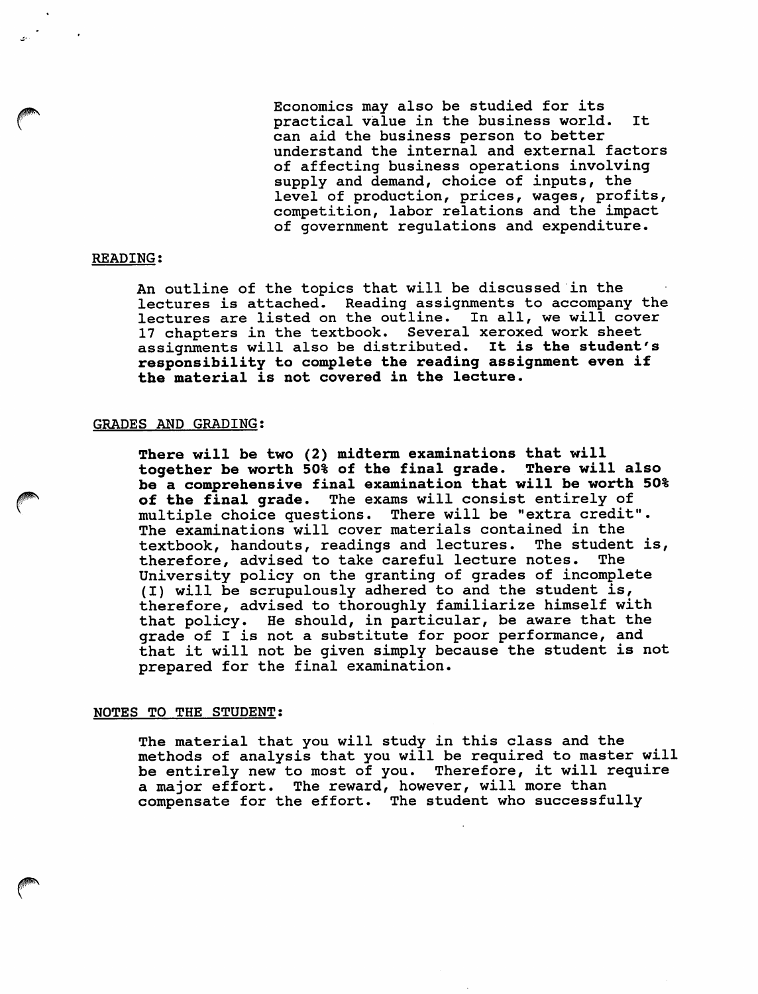Economics may also be studied for its practical value in the business world. It can aid the business person to better understand the internal and external factors of affecting business operations involving supply and demand, choice of inputs, the level of production, prices, wages, profits, competition, labor relations and the impact of government regulations and expenditure.

## READING;

An outline of the topics that will be discussed in the lectures is attached. Reading assignments to accompany the lectures are listed on the outline. In all, we will cover 17 chapters in the textbook. Several xeroxed work sheet assignments will also be distributed. It is the student's responsibility to complete the reading assignment even if the material is not covered in the lecture.

## GRADES AND GRADING:

There will be two (2) midterm examinations that will<br>together be worth 50% of the final grade. There will also together be worth 50% of the final grade. be a comprehensive final examination that will be worth 50% of the final grade. The exams will consist entirely of multiple choice questions. There will be "extra credit". The examinations will cover materials contained in the textbook, handouts, readings and lectures. The student is, therefore, advised to take careful lecture notes. The University policy on the granting of grades of incomplete (I) will be scrupulously adhered to and the student is, therefore, advised to thoroughly familiarize himself with that policy. He should, in particular, be aware that the grade of I is not a substitute for poor performance, and that it will not be given simply because the student is not prepared for the final examination.

## NOTES TO THE STUDENT:

**PN** 

The material that you will study in this class and the methods of analysis that you will be required to master will be entirely new to most of you. Therefore, it will require a major effort. The reward, however, will more than compensate for the effort. The student who successfully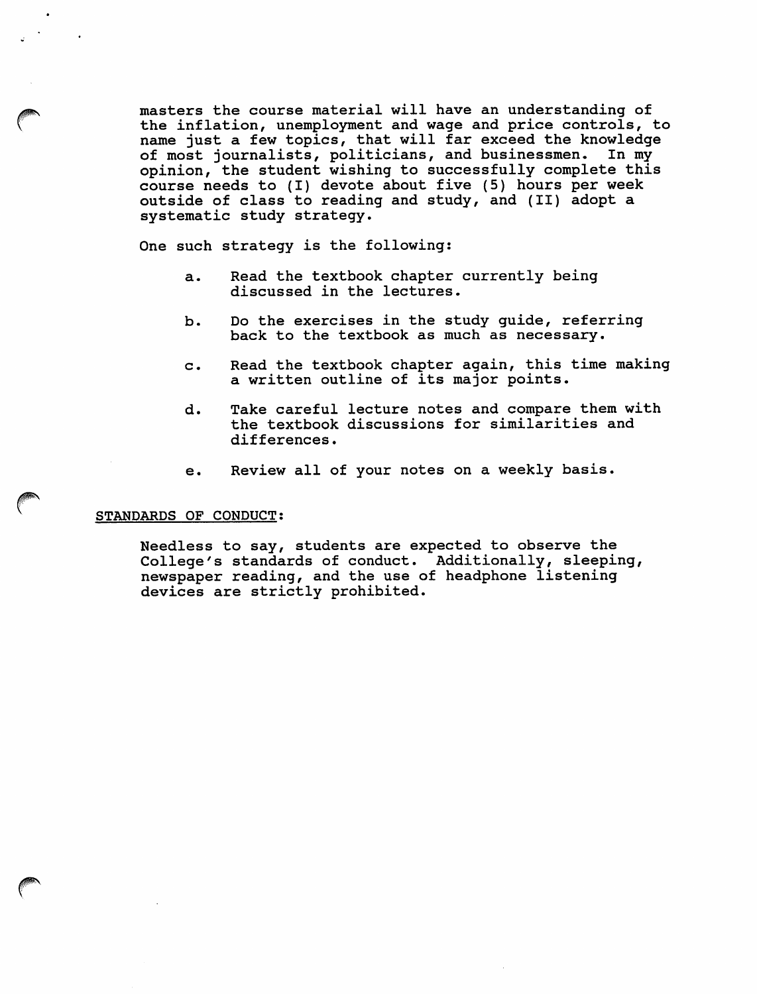masters the course material will have an understanding of the inflation, unemployment and wage and price controls, to name just a few topics, that will far exceed the knowledge of most journalists, politicians, and businessmen. In my opinion, the student wishing to successfully complete this course needs to (I) devote about five (5) hours per week outside of class to reading and study, and (II) adopt a systematic study strategy.

One such strategy is the following:

- a. Read the textbook chapter currently being discussed in the lectures.
- b. Do the exercises in the study guide, referring back to the textbook as much as necessary.
- c. Read the textbook chapter again, this time making a written outline of its major points.
- d. Take careful lecture notes and compare them with the textbook discussions for similarities and differences.
- e. Review all of your notes on a weekly basis.

## STANDARDS OF CONDUCT:

Needless to say, students are expected to observe the College's standards of conduct. Additionally, sleeping, newspaper reading, and the use of headphone listening devices are strictly prohibited.